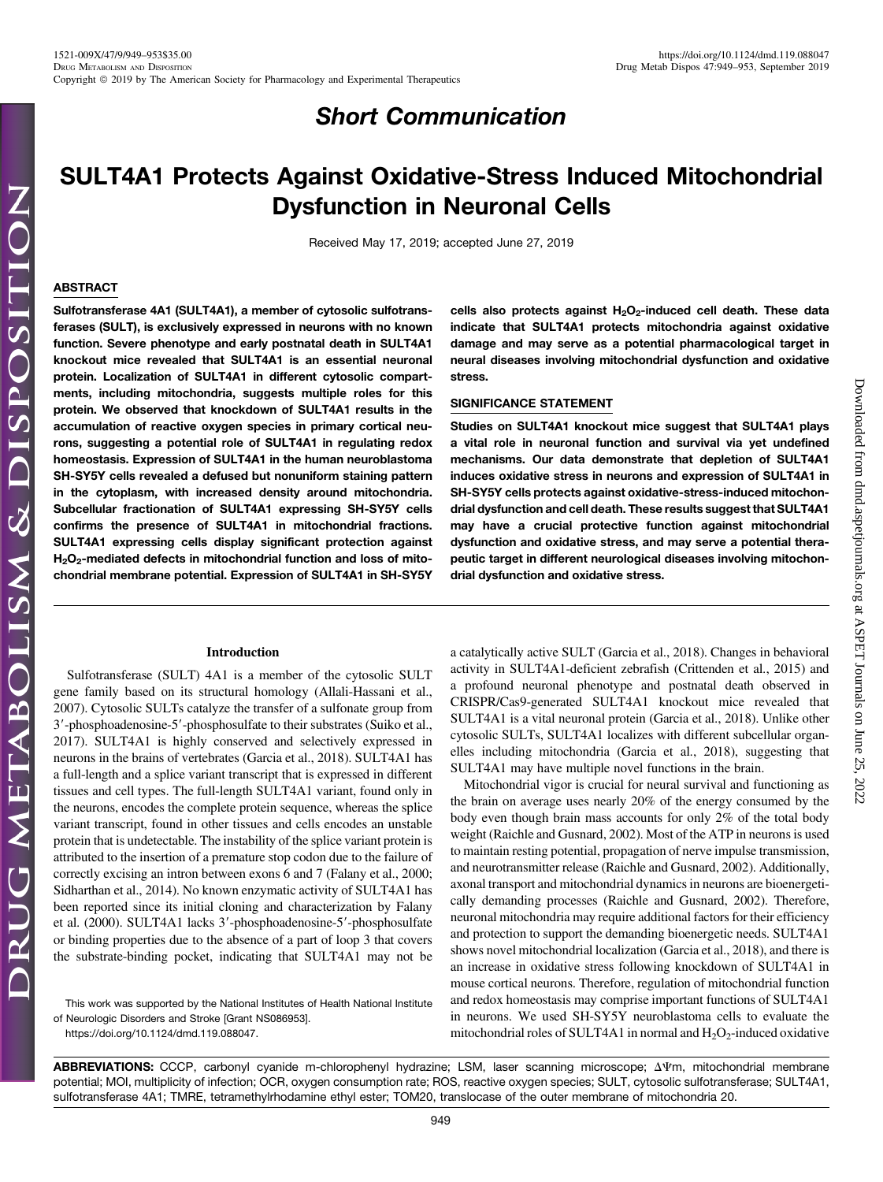## Short Communication

# SULT4A1 Protects Against Oxidative-Stress Induced Mitochondrial Dysfunction in Neuronal Cells

Received May 17, 2019; accepted June 27, 2019

### ABSTRACT

Sulfotransferase 4A1 (SULT4A1), a member of cytosolic sulfotransferases (SULT), is exclusively expressed in neurons with no known function. Severe phenotype and early postnatal death in SULT4A1 knockout mice revealed that SULT4A1 is an essential neuronal protein. Localization of SULT4A1 in different cytosolic compartments, including mitochondria, suggests multiple roles for this protein. We observed that knockdown of SULT4A1 results in the accumulation of reactive oxygen species in primary cortical neurons, suggesting a potential role of SULT4A1 in regulating redox homeostasis. Expression of SULT4A1 in the human neuroblastoma SH-SY5Y cells revealed a defused but nonuniform staining pattern in the cytoplasm, with increased density around mitochondria. Subcellular fractionation of SULT4A1 expressing SH-SY5Y cells confirms the presence of SULT4A1 in mitochondrial fractions. SULT4A1 expressing cells display significant protection against H<sub>2</sub>O<sub>2</sub>-mediated defects in mitochondrial function and loss of mitochondrial membrane potential. Expression of SULT4A1 in SH-SY5Y

## cells also protects against  $H_2O_2$ -induced cell death. These data indicate that SULT4A1 protects mitochondria against oxidative damage and may serve as a potential pharmacological target in neural diseases involving mitochondrial dysfunction and oxidative stress.

## SIGNIFICANCE STATEMENT

Studies on SULT4A1 knockout mice suggest that SULT4A1 plays a vital role in neuronal function and survival via yet undefined mechanisms. Our data demonstrate that depletion of SULT4A1 induces oxidative stress in neurons and expression of SULT4A1 in SH-SY5Y cells protects against oxidative-stress-induced mitochondrial dysfunction and cell death. These results suggest that SULT4A1 may have a crucial protective function against mitochondrial dysfunction and oxidative stress, and may serve a potential therapeutic target in different neurological diseases involving mitochondrial dysfunction and oxidative stress.

Downloaded from [dmd.aspetjournals.org](http://dmd.aspetjournals.org/) at ASPET Journals on June 25, 2022

 $.2022$ 

Downloaded from dmd.aspetjournals.org at ASPET Journals on June 25,

#### Introduction

Sulfotransferase (SULT) 4A1 is a member of the cytosolic SULT gene family based on its structural homology (Allali-Hassani et al., 2007). Cytosolic SULTs catalyze the transfer of a sulfonate group from 3'-phosphoadenosine-5'-phosphosulfate to their substrates (Suiko et al., 2017). SULT4A1 is highly conserved and selectively expressed in neurons in the brains of vertebrates (Garcia et al., 2018). SULT4A1 has a full-length and a splice variant transcript that is expressed in different tissues and cell types. The full-length SULT4A1 variant, found only in the neurons, encodes the complete protein sequence, whereas the splice variant transcript, found in other tissues and cells encodes an unstable protein that is undetectable. The instability of the splice variant protein is attributed to the insertion of a premature stop codon due to the failure of correctly excising an intron between exons 6 and 7 (Falany et al., 2000; Sidharthan et al., 2014). No known enzymatic activity of SULT4A1 has been reported since its initial cloning and characterization by Falany et al. (2000). SULT4A1 lacks 3'-phosphoadenosine-5'-phosphosulfate or binding properties due to the absence of a part of loop 3 that covers the substrate-binding pocket, indicating that SULT4A1 may not be

This work was supported by the National Institutes of Health National Institute of Neurologic Disorders and Stroke [Grant NS086953].

<https://doi.org/10.1124/dmd.119.088047>.

a catalytically active SULT (Garcia et al., 2018). Changes in behavioral activity in SULT4A1-deficient zebrafish (Crittenden et al., 2015) and a profound neuronal phenotype and postnatal death observed in CRISPR/Cas9-generated SULT4A1 knockout mice revealed that SULT4A1 is a vital neuronal protein (Garcia et al., 2018). Unlike other cytosolic SULTs, SULT4A1 localizes with different subcellular organelles including mitochondria (Garcia et al., 2018), suggesting that SULT4A1 may have multiple novel functions in the brain.

Mitochondrial vigor is crucial for neural survival and functioning as the brain on average uses nearly 20% of the energy consumed by the body even though brain mass accounts for only 2% of the total body weight (Raichle and Gusnard, 2002). Most of the ATP in neurons is used to maintain resting potential, propagation of nerve impulse transmission, and neurotransmitter release (Raichle and Gusnard, 2002). Additionally, axonal transport and mitochondrial dynamics in neurons are bioenergetically demanding processes (Raichle and Gusnard, 2002). Therefore, neuronal mitochondria may require additional factors for their efficiency and protection to support the demanding bioenergetic needs. SULT4A1 shows novel mitochondrial localization (Garcia et al., 2018), and there is an increase in oxidative stress following knockdown of SULT4A1 in mouse cortical neurons. Therefore, regulation of mitochondrial function and redox homeostasis may comprise important functions of SULT4A1 in neurons. We used SH-SY5Y neuroblastoma cells to evaluate the mitochondrial roles of SULT4A1 in normal and  $H_2O_2$ -induced oxidative

ABBREVIATIONS: CCCP, carbonyl cyanide m-chlorophenyl hydrazine; LSM, laser scanning microscope;  $\Delta \Psi$ m, mitochondrial membrane potential; MOI, multiplicity of infection; OCR, oxygen consumption rate; ROS, reactive oxygen species; SULT, cytosolic sulfotransferase; SULT4A1, sulfotransferase 4A1; TMRE, tetramethylrhodamine ethyl ester; TOM20, translocase of the outer membrane of mitochondria 20.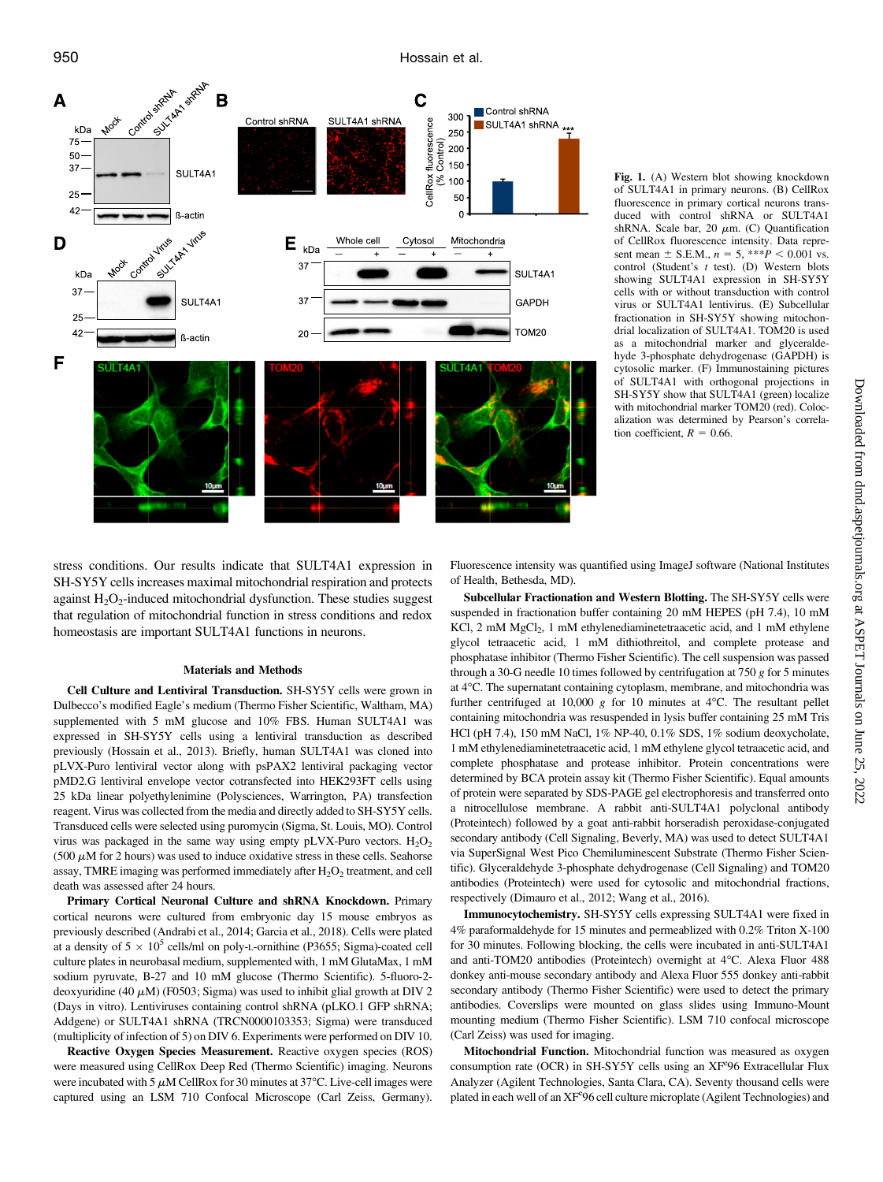

Fig. 1. (A) Western blot showing knockdown of SULT4A1 in primary neurons. (B) CellRox fluorescence in primary cortical neurons transduced with control shRNA or SULT4A1 shRNA. Scale bar, 20  $\mu$ m. (C) Quantification of CellRox fluorescence intensity. Data represent mean  $\pm$  S.E.M.,  $n = 5$ , \*\*\* $P < 0.001$  vs. control (Student's t test). (D) Western blots showing SULT4A1 expression in SH-SY5Y cells with or without transduction with control virus or SULT4A1 lentivirus. (E) Subcellular fractionation in SH-SY5Y showing mitochondrial localization of SULT4A1. TOM20 is used as a mitochondrial marker and glyceraldehyde 3-phosphate dehydrogenase (GAPDH) is cytosolic marker. (F) Immunostaining pictures of SULT4A1 with orthogonal projections in SH-SY5Y show that SULT4A1 (green) localize with mitochondrial marker TOM20 (red). Colocalization was determined by Pearson's correlation coefficient,  $R = 0.66$ .

stress conditions. Our results indicate that SULT4A1 expression in SH-SY5Y cells increases maximal mitochondrial respiration and protects against  $H_2O_2$ -induced mitochondrial dysfunction. These studies suggest that regulation of mitochondrial function in stress conditions and redox homeostasis are important SULT4A1 functions in neurons.

#### Materials and Methods

Cell Culture and Lentiviral Transduction. SH-SY5Y cells were grown in Dulbecco's modified Eagle's medium (Thermo Fisher Scientific, Waltham, MA) supplemented with 5 mM glucose and 10% FBS. Human SULT4A1 was expressed in SH-SY5Y cells using a lentiviral transduction as described previously (Hossain et al., 2013). Briefly, human SULT4A1 was cloned into pLVX-Puro lentiviral vector along with psPAX2 lentiviral packaging vector pMD2.G lentiviral envelope vector cotransfected into HEK293FT cells using 25 kDa linear polyethylenimine (Polysciences, Warrington, PA) transfection reagent. Virus was collected from the media and directly added to SH-SY5Y cells. Transduced cells were selected using puromycin (Sigma, St. Louis, MO). Control virus was packaged in the same way using empty pLVX-Puro vectors.  $H_2O_2$ (500  $\mu$ M for 2 hours) was used to induce oxidative stress in these cells. Seahorse assay, TMRE imaging was performed immediately after  $H_2O_2$  treatment, and cell death was assessed after 24 hours.

Primary Cortical Neuronal Culture and shRNA Knockdown. Primary cortical neurons were cultured from embryonic day 15 mouse embryos as previously described (Andrabi et al., 2014; Garcia et al., 2018). Cells were plated at a density of  $5 \times 10^5$  cells/ml on poly-L-ornithine (P3655; Sigma)-coated cell culture plates in neurobasal medium, supplemented with, 1 mM GlutaMax, 1 mM sodium pyruvate, B-27 and 10 mM glucose (Thermo Scientific). 5-fluoro-2 deoxyuridine (40  $\mu$ M) (F0503; Sigma) was used to inhibit glial growth at DIV 2 (Days in vitro). Lentiviruses containing control shRNA (pLKO.1 GFP shRNA; Addgene) or SULT4A1 shRNA (TRCN0000103353; Sigma) were transduced (multiplicity of infection of 5) on DIV 6. Experiments were performed on DIV 10.

Reactive Oxygen Species Measurement. Reactive oxygen species (ROS) were measured using CellRox Deep Red (Thermo Scientific) imaging. Neurons were incubated with 5  $\mu$ M CellRox for 30 minutes at 37°C. Live-cell images were captured using an LSM 710 Confocal Microscope (Carl Zeiss, Germany).

Fluorescence intensity was quantified using ImageJ software (National Institutes of Health, Bethesda, MD).

Subcellular Fractionation and Western Blotting. The SH-SY5Y cells were suspended in fractionation buffer containing 20 mM HEPES (pH 7.4), 10 mM KCl, 2 mM MgCl<sub>2</sub>, 1 mM ethylenediaminetetraacetic acid, and 1 mM ethylene glycol tetraacetic acid, 1 mM dithiothreitol, and complete protease and phosphatase inhibitor (Thermo Fisher Scientific). The cell suspension was passed through a 30-G needle 10 times followed by centrifugation at 750  $g$  for 5 minutes at 4°C. The supernatant containing cytoplasm, membrane, and mitochondria was further centrifuged at 10,000  $g$  for 10 minutes at 4°C. The resultant pellet containing mitochondria was resuspended in lysis buffer containing 25 mM Tris HCl (pH 7.4), 150 mM NaCl, 1% NP-40, 0.1% SDS, 1% sodium deoxycholate, 1 mM ethylenediaminetetraacetic acid, 1 mM ethylene glycol tetraacetic acid, and complete phosphatase and protease inhibitor. Protein concentrations were determined by BCA protein assay kit (Thermo Fisher Scientific). Equal amounts of protein were separated by SDS-PAGE gel electrophoresis and transferred onto a nitrocellulose membrane. A rabbit anti-SULT4A1 polyclonal antibody (Proteintech) followed by a goat anti-rabbit horseradish peroxidase-conjugated secondary antibody (Cell Signaling, Beverly, MA) was used to detect SULT4A1 via SuperSignal West Pico Chemiluminescent Substrate (Thermo Fisher Scientific). Glyceraldehyde 3-phosphate dehydrogenase (Cell Signaling) and TOM20 antibodies (Proteintech) were used for cytosolic and mitochondrial fractions, respectively (Dimauro et al., 2012; Wang et al., 2016).

Immunocytochemistry. SH-SY5Y cells expressing SULT4A1 were fixed in 4% paraformaldehyde for 15 minutes and permeablized with 0.2% Triton X-100 for 30 minutes. Following blocking, the cells were incubated in anti-SULT4A1 and anti-TOM20 antibodies (Proteintech) overnight at 4°C. Alexa Fluor 488 donkey anti-mouse secondary antibody and Alexa Fluor 555 donkey anti-rabbit secondary antibody (Thermo Fisher Scientific) were used to detect the primary antibodies. Coverslips were mounted on glass slides using Immuno-Mount mounting medium (Thermo Fisher Scientific). LSM 710 confocal microscope (Carl Zeiss) was used for imaging.

Mitochondrial Function. Mitochondrial function was measured as oxygen consumption rate (OCR) in SH-SY5Y cells using an XF°96 Extracellular Flux Analyzer (Agilent Technologies, Santa Clara, CA). Seventy thousand cells were plated in each well of an XF<sup>e</sup>96 cell culture microplate (Agilent Technologies) and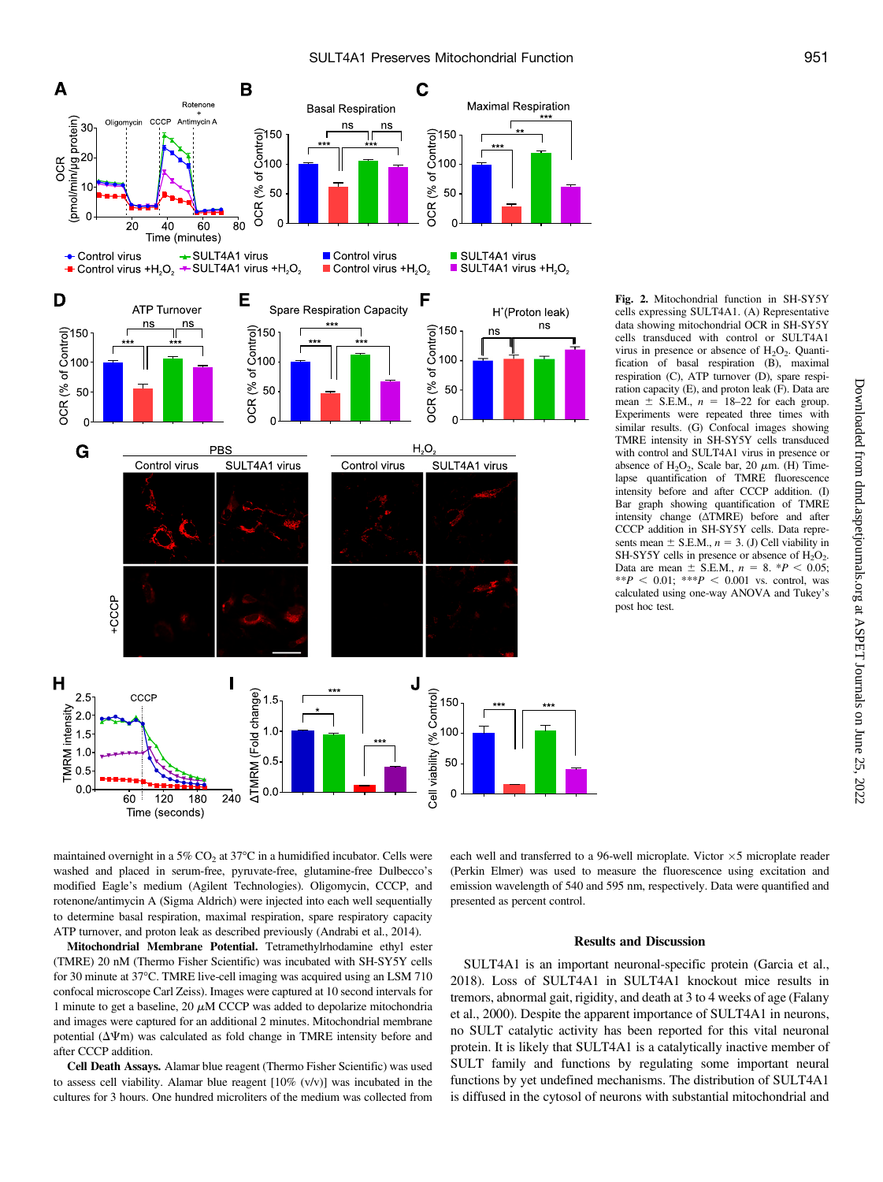

Fig. 2. Mitochondrial function in SH-SY5Y cells expressing SULT4A1. (A) Representative data showing mitochondrial OCR in SH-SY5Y cells transduced with control or SULT4A1 virus in presence or absence of  $H_2O_2$ . Quantification of basal respiration (B), maximal respiration (C), ATP turnover (D), spare respiration capacity (E), and proton leak (F). Data are mean  $\pm$  S.E.M.,  $n = 18-22$  for each group. Experiments were repeated three times with similar results. (G) Confocal images showing TMRE intensity in SH-SY5Y cells transduced with control and SULT4A1 virus in presence or absence of  $H_2O_2$ , Scale bar, 20  $\mu$ m. (H) Timelapse quantification of TMRE fluorescence intensity before and after CCCP addition. (I) Bar graph showing quantification of TMRE intensity change (ΔTMRE) before and after CCCP addition in SH-SY5Y cells. Data represents mean  $\pm$  S.E.M.,  $n = 3$ . (J) Cell viability in SH-SY5Y cells in presence or absence of  $H_2O_2$ . Data are mean  $\pm$  S.E.M.,  $n = 8$ . \*P < 0.05; \*\*P < 0.01: \*\*\*P < 0.001 vs. control, was calculated using one-way ANOVA and Tukey's post hoc test.

maintained overnight in a  $5\%$  CO<sub>2</sub> at  $37^{\circ}$ C in a humidified incubator. Cells were washed and placed in serum-free, pyruvate-free, glutamine-free Dulbecco's modified Eagle's medium (Agilent Technologies). Oligomycin, CCCP, and rotenone/antimycin A (Sigma Aldrich) were injected into each well sequentially to determine basal respiration, maximal respiration, spare respiratory capacity ATP turnover, and proton leak as described previously (Andrabi et al., 2014).

Mitochondrial Membrane Potential. Tetramethylrhodamine ethyl ester (TMRE) 20 nM (Thermo Fisher Scientific) was incubated with SH-SY5Y cells for 30 minute at 37°C. TMRE live-cell imaging was acquired using an LSM 710 confocal microscope Carl Zeiss). Images were captured at 10 second intervals for 1 minute to get a baseline, 20  $\mu$ M CCCP was added to depolarize mitochondria and images were captured for an additional 2 minutes. Mitochondrial membrane potential  $(\Delta \Psi)$  was calculated as fold change in TMRE intensity before and after CCCP addition.

Cell Death Assays. Alamar blue reagent (Thermo Fisher Scientific) was used to assess cell viability. Alamar blue reagent [10% (v/v)] was incubated in the cultures for 3 hours. One hundred microliters of the medium was collected from

each well and transferred to a 96-well microplate. Victor  $\times$ 5 microplate reader (Perkin Elmer) was used to measure the fluorescence using excitation and emission wavelength of 540 and 595 nm, respectively. Data were quantified and presented as percent control.

#### Results and Discussion

SULT4A1 is an important neuronal-specific protein (Garcia et al., 2018). Loss of SULT4A1 in SULT4A1 knockout mice results in tremors, abnormal gait, rigidity, and death at 3 to 4 weeks of age (Falany et al., 2000). Despite the apparent importance of SULT4A1 in neurons, no SULT catalytic activity has been reported for this vital neuronal protein. It is likely that SULT4A1 is a catalytically inactive member of SULT family and functions by regulating some important neural functions by yet undefined mechanisms. The distribution of SULT4A1 is diffused in the cytosol of neurons with substantial mitochondrial and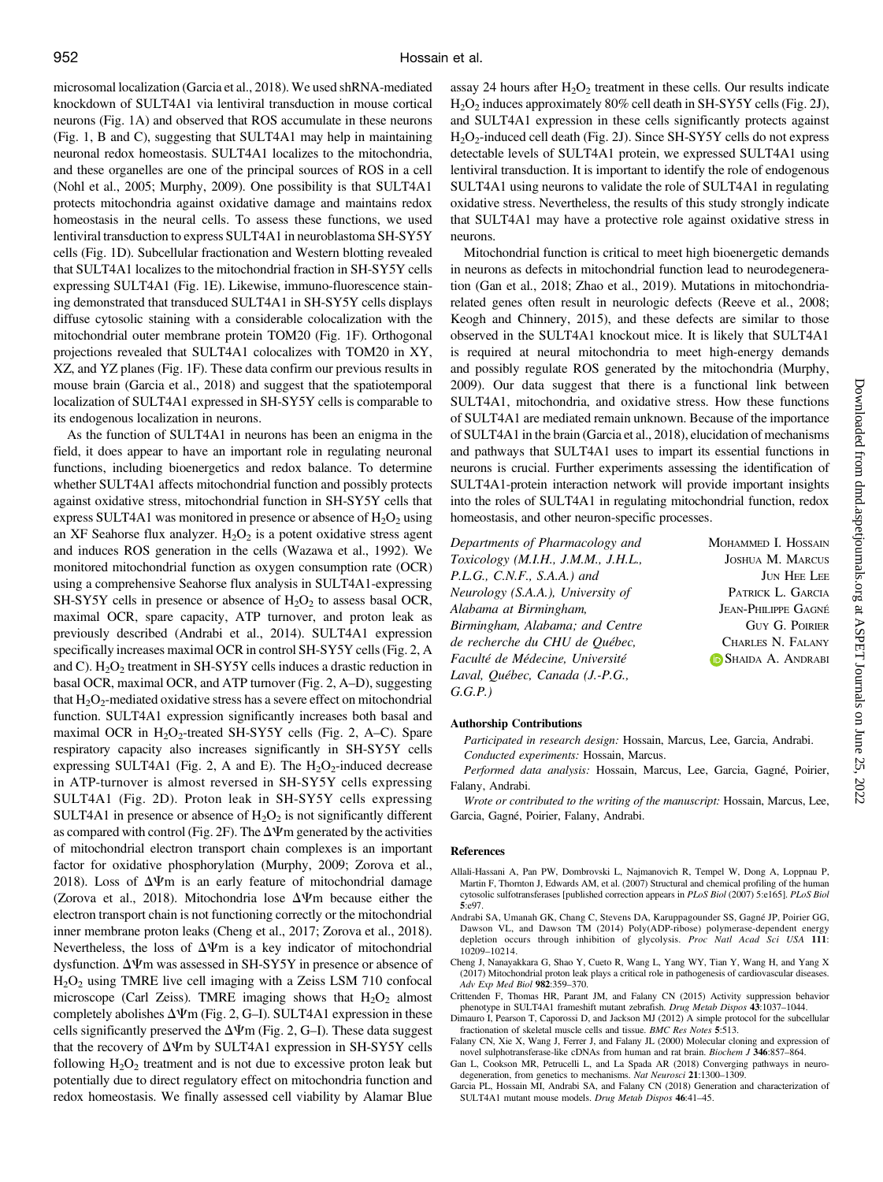microsomal localization (Garcia et al., 2018). We used shRNA-mediated knockdown of SULT4A1 via lentiviral transduction in mouse cortical neurons (Fig. 1A) and observed that ROS accumulate in these neurons (Fig. 1, B and C), suggesting that SULT4A1 may help in maintaining neuronal redox homeostasis. SULT4A1 localizes to the mitochondria, and these organelles are one of the principal sources of ROS in a cell (Nohl et al., 2005; Murphy, 2009). One possibility is that SULT4A1 protects mitochondria against oxidative damage and maintains redox homeostasis in the neural cells. To assess these functions, we used lentiviral transduction to express SULT4A1 in neuroblastoma SH-SY5Y cells (Fig. 1D). Subcellular fractionation and Western blotting revealed that SULT4A1 localizes to the mitochondrial fraction in SH-SY5Y cells expressing SULT4A1 (Fig. 1E). Likewise, immuno-fluorescence staining demonstrated that transduced SULT4A1 in SH-SY5Y cells displays diffuse cytosolic staining with a considerable colocalization with the mitochondrial outer membrane protein TOM20 (Fig. 1F). Orthogonal projections revealed that SULT4A1 colocalizes with TOM20 in XY, XZ, and YZ planes (Fig. 1F). These data confirm our previous results in mouse brain (Garcia et al., 2018) and suggest that the spatiotemporal localization of SULT4A1 expressed in SH-SY5Y cells is comparable to its endogenous localization in neurons.

As the function of SULT4A1 in neurons has been an enigma in the field, it does appear to have an important role in regulating neuronal functions, including bioenergetics and redox balance. To determine whether SULT4A1 affects mitochondrial function and possibly protects against oxidative stress, mitochondrial function in SH-SY5Y cells that express SULT4A1 was monitored in presence or absence of  $H_2O_2$  using an XF Seahorse flux analyzer.  $H_2O_2$  is a potent oxidative stress agent and induces ROS generation in the cells (Wazawa et al., 1992). We monitored mitochondrial function as oxygen consumption rate (OCR) using a comprehensive Seahorse flux analysis in SULT4A1-expressing SH-SY5Y cells in presence or absence of  $H_2O_2$  to assess basal OCR, maximal OCR, spare capacity, ATP turnover, and proton leak as previously described (Andrabi et al., 2014). SULT4A1 expression specifically increases maximal OCR in control SH-SY5Y cells (Fig. 2, A and C).  $H_2O_2$  treatment in SH-SY5Y cells induces a drastic reduction in basal OCR, maximal OCR, and ATP turnover (Fig. 2, A–D), suggesting that  $H_2O_2$ -mediated oxidative stress has a severe effect on mitochondrial function. SULT4A1 expression significantly increases both basal and maximal OCR in  $H_2O_2$ -treated SH-SY5Y cells (Fig. 2, A–C). Spare respiratory capacity also increases significantly in SH-SY5Y cells expressing SULT4A1 (Fig. 2, A and E). The  $H_2O_2$ -induced decrease in ATP-turnover is almost reversed in SH-SY5Y cells expressing SULT4A1 (Fig. 2D). Proton leak in SH-SY5Y cells expressing SULT4A1 in presence or absence of  $H_2O_2$  is not significantly different as compared with control (Fig. 2F). The  $\Delta \Psi$ m generated by the activities of mitochondrial electron transport chain complexes is an important factor for oxidative phosphorylation (Murphy, 2009; Zorova et al., 2018). Loss of  $\Delta \Psi$ m is an early feature of mitochondrial damage (Zorova et al., 2018). Mitochondria lose  $\Delta \Psi$ m because either the electron transport chain is not functioning correctly or the mitochondrial inner membrane proton leaks (Cheng et al., 2017; Zorova et al., 2018). Nevertheless, the loss of  $\Delta \Psi$ m is a key indicator of mitochondrial dysfunction.  $\Delta\Psi$ m was assessed in SH-SY5Y in presence or absence of  $H<sub>2</sub>O<sub>2</sub>$  using TMRE live cell imaging with a Zeiss LSM 710 confocal microscope (Carl Zeiss). TMRE imaging shows that  $H_2O_2$  almost completely abolishes  $\Delta\Psi$ m (Fig. 2, G-I). SULT4A1 expression in these cells significantly preserved the  $\Delta \Psi$ m (Fig. 2, G–I). These data suggest that the recovery of  $\Delta \Psi$ m by SULT4A1 expression in SH-SY5Y cells following  $H_2O_2$  treatment and is not due to excessive proton leak but potentially due to direct regulatory effect on mitochondria function and redox homeostasis. We finally assessed cell viability by Alamar Blue

assay 24 hours after  $H_2O_2$  treatment in these cells. Our results indicate H2O2 induces approximately 80% cell death in SH-SY5Y cells (Fig. 2J), and SULT4A1 expression in these cells significantly protects against H<sub>2</sub>O<sub>2</sub>-induced cell death (Fig. 2J). Since SH-SY5Y cells do not express detectable levels of SULT4A1 protein, we expressed SULT4A1 using lentiviral transduction. It is important to identify the role of endogenous SULT4A1 using neurons to validate the role of SULT4A1 in regulating oxidative stress. Nevertheless, the results of this study strongly indicate that SULT4A1 may have a protective role against oxidative stress in neurons.

Mitochondrial function is critical to meet high bioenergetic demands in neurons as defects in mitochondrial function lead to neurodegeneration (Gan et al., 2018; Zhao et al., 2019). Mutations in mitochondriarelated genes often result in neurologic defects (Reeve et al., 2008; Keogh and Chinnery, 2015), and these defects are similar to those observed in the SULT4A1 knockout mice. It is likely that SULT4A1 is required at neural mitochondria to meet high-energy demands and possibly regulate ROS generated by the mitochondria (Murphy, 2009). Our data suggest that there is a functional link between SULT4A1, mitochondria, and oxidative stress. How these functions of SULT4A1 are mediated remain unknown. Because of the importance of SULT4A1 in the brain (Garcia et al., 2018), elucidation of mechanisms and pathways that SULT4A1 uses to impart its essential functions in neurons is crucial. Further experiments assessing the identification of SULT4A1-protein interaction network will provide important insights into the roles of SULT4A1 in regulating mitochondrial function, redox homeostasis, and other neuron-specific processes.

Departments of Pharmacology and Toxicology (M.I.H., J.M.M., J.H.L., P.L.G., C.N.F., S.A.A.) and Neurology (S.A.A.), University of Alabama at Birmingham, Birmingham, Alabama; and Centre de recherche du CHU de Québec, Faculté de Médecine, Université Laval, Québec, Canada (J.-P.G., G.G.P.)

MOHAMMED I. HOSSAIN JOSHUA M. MARCUS JUN HEE LEE PATRICK L. GARCIA JEAN-PHILIPPE GAGNÉ GUY G. POIRIER CHARLES N. FALANY SHAIDA A. ANDRABI

#### Authorship Contributions

Participated in research design: Hossain, Marcus, Lee, Garcia, Andrabi. Conducted experiments: Hossain, Marcus.

Performed data analysis: Hossain, Marcus, Lee, Garcia, Gagné, Poirier, Falany, Andrabi.

Wrote or contributed to the writing of the manuscript: Hossain, Marcus, Lee, Garcia, Gagné, Poirier, Falany, Andrabi.

#### References

- Allali-Hassani A, Pan PW, Dombrovski L, Najmanovich R, Tempel W, Dong A, Loppnau P, Martin F, Thornton J, Edwards AM, et al. (2007) Structural and chemical profiling of the human cytosolic sulfotransferases [published correction appears in PLoS Biol (2007) 5:e165]. PLoS Biol 5:e97.
- Andrabi SA, Umanah GK, Chang C, Stevens DA, Karuppagounder SS, Gagné JP, Poirier GG, Dawson VL, and Dawson TM (2014) Poly(ADP-ribose) polymerase-dependent energy depletion occurs through inhibition of glycolysis. Proc Natl Acad Sci USA 111: 10209–10214.
- Cheng J, Nanayakkara G, Shao Y, Cueto R, Wang L, Yang WY, Tian Y, Wang H, and Yang X (2017) Mitochondrial proton leak plays a critical role in pathogenesis of cardiovascular diseases. Adv Exp Med Biol 982:359–370.
- Crittenden F, Thomas HR, Parant JM, and Falany CN (2015) Activity suppression behavior phenotype in SULT4A1 frameshift mutant zebrafish. Drug Metab Dispos 43:1037–1044.
- Dimauro I, Pearson T, Caporossi D, and Jackson MJ (2012) A simple protocol for the subcellular fractionation of skeletal muscle cells and tissue. BMC Res Notes 5:513.
- Falany CN, Xie X, Wang J, Ferrer J, and Falany JL (2000) Molecular cloning and expression of novel sulphotransferase-like cDNAs from human and rat brain. Biochem J 346:857–864.
- Gan L, Cookson MR, Petrucelli L, and La Spada AR (2018) Converging pathways in neurodegeneration, from genetics to mechanisms. Nat Neurosci 21:1300-1309.
- Garcia PL, Hossain MI, Andrabi SA, and Falany CN (2018) Generation and characterization of SULT4A1 mutant mouse models. Drug Metab Dispos 46:41–45.